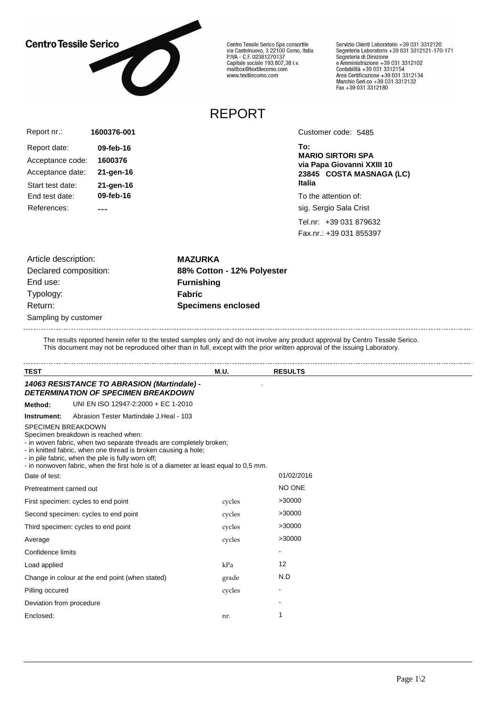## **Centro Tessile Serico**



Centro Tessile Serico Spa consortile<br>via Castelnuovo, 3 22100 Como, Italia<br>P.IVA - C.F. 02381270137 Capitale sociale 193.807,38 i.v.<br>Capitale sociale 193.807,38 i.v.<br>mailbox@textilecomo.com www.textilecomo.com

Servizio Clienti Laboratorio +39 031 3312120 Servizio che il Laboratorio +39 031 3312121-170-171<br>Segreteria Laboratorio +39 031 3312121-170-171 Segreteria di Direzione<br>e Amministrazione +39 031 3312102<br>Contabilità +39 031 3312154<br>Area Certificazione +39 031 3312134<br>Marchio Seri.co +39 031 3312132<br>Fax +39 031 3312180

## REPORT

| Report nr.:                        | 1600376-001            |
|------------------------------------|------------------------|
| Report date:                       | 09-feb-16              |
| Acceptance code:                   | 1600376                |
| Acceptance date:                   | 21-gen-16              |
| Start test date:<br>End test date: | 21-gen-16<br>09-feb-16 |
| References:                        |                        |

Customer code: 5485

**To: MARIO SIRTORI SPA via Papa Giovanni XXIII 10 23845 COSTA MASNAGA (LC) Italia**

To the attention of:

sig. Sergio Sala Crist

Tel.nr: +39 031 879632 Fax.nr.: +39 031 855397

Sampling by customer Article description: **MAZURKA** End use: **Furnishing** Typology: **Fabric** Return: **Specimens enclosed**

Declared composition: **88% Cotton - 12% Polyester**

The results reported herein refer to the tested samples only and do not involve any product approval by Centro Tessile Serico. This document may not be reproduced other than in full, except with the prior written approval of the issuing Laboratory.

| <b>TEST</b>               |                                                                                                                                                                                                                                                                                                                            | <b>M.U.</b> | <b>RESULTS</b> |  |
|---------------------------|----------------------------------------------------------------------------------------------------------------------------------------------------------------------------------------------------------------------------------------------------------------------------------------------------------------------------|-------------|----------------|--|
|                           | 14063 RESISTANCE TO ABRASION (Martindale) -<br><b>DETERMINATION OF SPECIMEN BREAKDOWN</b>                                                                                                                                                                                                                                  |             |                |  |
| Method:                   | UNI EN ISO 12947-2:2000 + EC 1-2010                                                                                                                                                                                                                                                                                        |             |                |  |
| Instrument:               | Abrasion Tester Martindale J.Heal - 103                                                                                                                                                                                                                                                                                    |             |                |  |
| <b>SPECIMEN BREAKDOWN</b> | Specimen breakdown is reached when:<br>- in woven fabric, when two separate threads are completely broken;<br>- in knitted fabric, when one thread is broken causing a hole;<br>- in pile fabric, when the pile is fully worn off;<br>- in nonwoven fabric, when the first hole is of a diameter at least equal to 0,5 mm. |             |                |  |
| Date of test:             |                                                                                                                                                                                                                                                                                                                            |             | 01/02/2016     |  |
| Pretreatment carried out  |                                                                                                                                                                                                                                                                                                                            |             | NO ONE         |  |
|                           | First specimen: cycles to end point                                                                                                                                                                                                                                                                                        | cycles      | >30000         |  |
|                           | Second specimen: cycles to end point                                                                                                                                                                                                                                                                                       | cycles      | >30000         |  |
|                           | Third specimen: cycles to end point                                                                                                                                                                                                                                                                                        | cycles      | >30000         |  |
| Average                   |                                                                                                                                                                                                                                                                                                                            | cycles      | >30000         |  |
| Confidence limits         |                                                                                                                                                                                                                                                                                                                            |             |                |  |
| Load applied              |                                                                                                                                                                                                                                                                                                                            | kPa         | 12             |  |
|                           | Change in colour at the end point (when stated)                                                                                                                                                                                                                                                                            | grade       | N.D            |  |
| Pilling occured           |                                                                                                                                                                                                                                                                                                                            | cycles      |                |  |
| Deviation from procedure  |                                                                                                                                                                                                                                                                                                                            |             |                |  |
| Enclosed:                 |                                                                                                                                                                                                                                                                                                                            | nr.         |                |  |
|                           |                                                                                                                                                                                                                                                                                                                            |             |                |  |